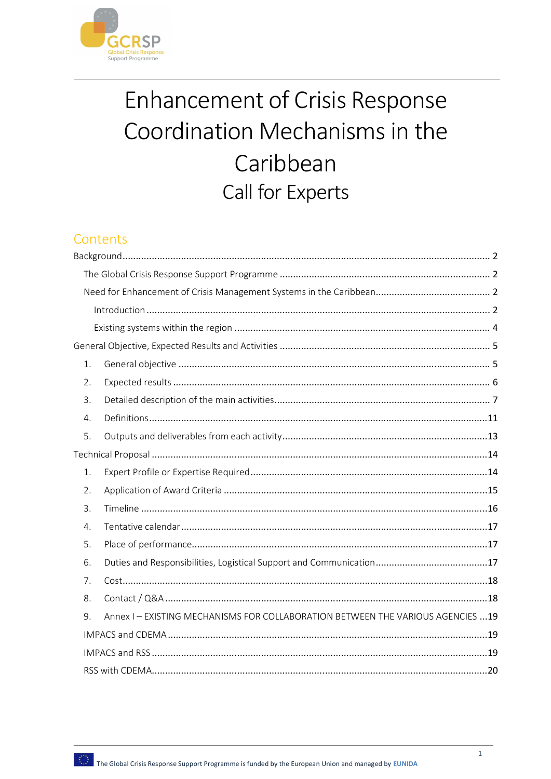

# Enhancement of Crisis Response Coordination Mechanisms in the Caribbean Call for Experts

# Contents

| 1. |                                                                                  |  |  |  |
|----|----------------------------------------------------------------------------------|--|--|--|
| 2. |                                                                                  |  |  |  |
| 3. |                                                                                  |  |  |  |
| 4. |                                                                                  |  |  |  |
| 5. |                                                                                  |  |  |  |
|    |                                                                                  |  |  |  |
| 1. |                                                                                  |  |  |  |
| 2. |                                                                                  |  |  |  |
| 3. |                                                                                  |  |  |  |
| 4. |                                                                                  |  |  |  |
| 5. |                                                                                  |  |  |  |
| 6. |                                                                                  |  |  |  |
| 7. |                                                                                  |  |  |  |
| 8. |                                                                                  |  |  |  |
| 9. | Annex I - EXISTING MECHANISMS FOR COLLABORATION BETWEEN THE VARIOUS AGENCIES  19 |  |  |  |
|    |                                                                                  |  |  |  |
|    |                                                                                  |  |  |  |
|    |                                                                                  |  |  |  |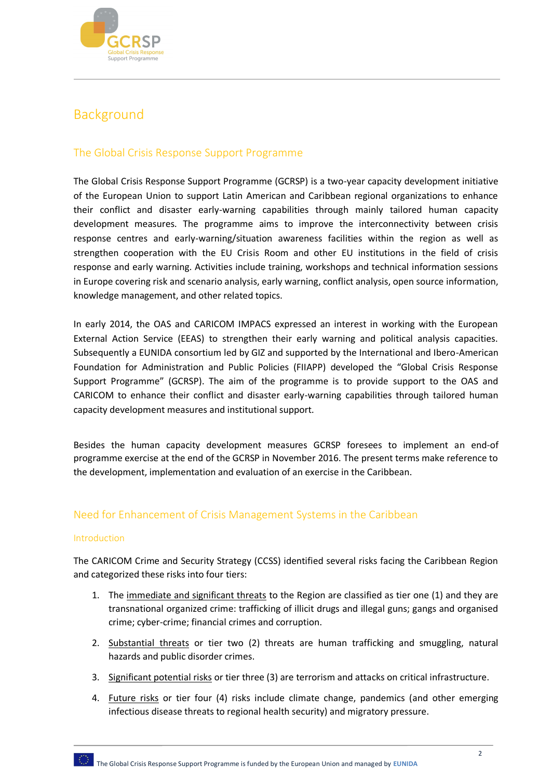

# Background

# The Global Crisis Response Support Programme

The Global Crisis Response Support Programme (GCRSP) is a two-year capacity development initiative of the European Union to support Latin American and Caribbean regional organizations to enhance their conflict and disaster early-warning capabilities through mainly tailored human capacity development measures. The programme aims to improve the interconnectivity between crisis response centres and early-warning/situation awareness facilities within the region as well as strengthen cooperation with the EU Crisis Room and other EU institutions in the field of crisis response and early warning. Activities include training, workshops and technical information sessions in Europe covering risk and scenario analysis, early warning, conflict analysis, open source information, knowledge management, and other related topics.

In early 2014, the OAS and CARICOM IMPACS expressed an interest in working with the European External Action Service (EEAS) to strengthen their early warning and political analysis capacities. Subsequently a EUNIDA consortium led by GIZ and supported by the International and Ibero-American Foundation for Administration and Public Policies (FIIAPP) developed the "Global Crisis Response Support Programme" (GCRSP). The aim of the programme is to provide support to the OAS and CARICOM to enhance their conflict and disaster early-warning capabilities through tailored human capacity development measures and institutional support.

Besides the human capacity development measures GCRSP foresees to implement an end-of programme exercise at the end of the GCRSP in November 2016. The present terms make reference to the development, implementation and evaluation of an exercise in the Caribbean.

# Need for Enhancement of Crisis Management Systems in the Caribbean

#### Introduction

The CARICOM Crime and Security Strategy (CCSS) identified several risks facing the Caribbean Region and categorized these risks into four tiers:

- 1. The immediate and significant threats to the Region are classified as tier one (1) and they are transnational organized crime: trafficking of illicit drugs and illegal guns; gangs and organised crime; cyber-crime; financial crimes and corruption.
- 2. Substantial threats or tier two (2) threats are human trafficking and smuggling, natural hazards and public disorder crimes.
- 3. Significant potential risks or tier three (3) are terrorism and attacks on critical infrastructure.
- 4. Future risks or tier four (4) risks include climate change, pandemics (and other emerging infectious disease threats to regional health security) and migratory pressure.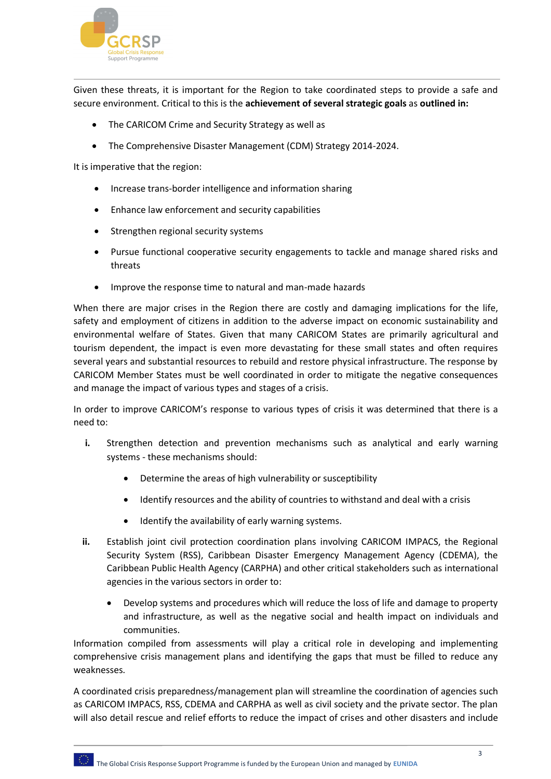

Given these threats, it is important for the Region to take coordinated steps to provide a safe and secure environment. Critical to this is the **achievement of several strategic goals** as **outlined in:**

- The CARICOM Crime and Security Strategy as well as
- The Comprehensive Disaster Management (CDM) Strategy 2014-2024.

It is imperative that the region:

- Increase trans-border intelligence and information sharing
- Enhance law enforcement and security capabilities
- Strengthen regional security systems
- Pursue functional cooperative security engagements to tackle and manage shared risks and threats
- Improve the response time to natural and man-made hazards

When there are major crises in the Region there are costly and damaging implications for the life, safety and employment of citizens in addition to the adverse impact on economic sustainability and environmental welfare of States. Given that many CARICOM States are primarily agricultural and tourism dependent, the impact is even more devastating for these small states and often requires several years and substantial resources to rebuild and restore physical infrastructure. The response by CARICOM Member States must be well coordinated in order to mitigate the negative consequences and manage the impact of various types and stages of a crisis.

In order to improve CARICOM's response to various types of crisis it was determined that there is a need to:

- **i.** Strengthen detection and prevention mechanisms such as analytical and early warning systems - these mechanisms should:
	- Determine the areas of high vulnerability or susceptibility
	- Identify resources and the ability of countries to withstand and deal with a crisis
	- $\bullet$  Identify the availability of early warning systems.
- **ii.** Establish joint civil protection coordination plans involving CARICOM IMPACS, the Regional Security System (RSS), Caribbean Disaster Emergency Management Agency (CDEMA), the Caribbean Public Health Agency (CARPHA) and other critical stakeholders such as international agencies in the various sectors in order to:
	- Develop systems and procedures which will reduce the loss of life and damage to property and infrastructure, as well as the negative social and health impact on individuals and communities.

Information compiled from assessments will play a critical role in developing and implementing comprehensive crisis management plans and identifying the gaps that must be filled to reduce any weaknesses.

A coordinated crisis preparedness/management plan will streamline the coordination of agencies such as CARICOM IMPACS, RSS, CDEMA and CARPHA as well as civil society and the private sector. The plan will also detail rescue and relief efforts to reduce the impact of crises and other disasters and include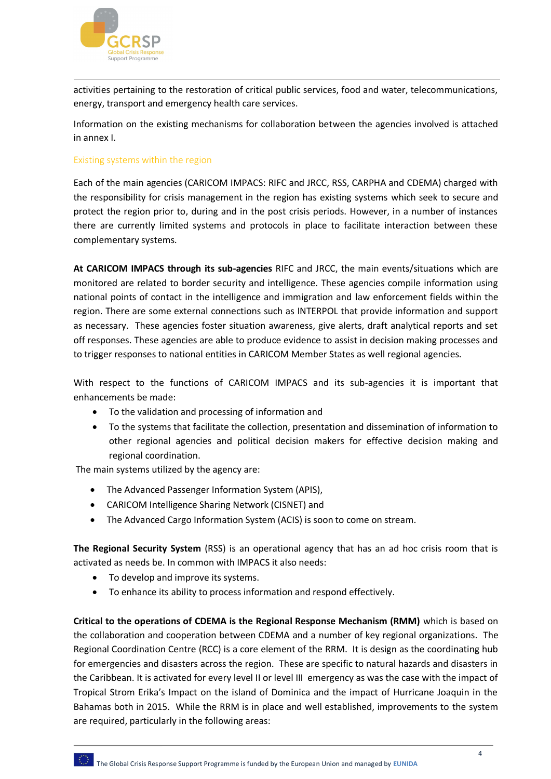

activities pertaining to the restoration of critical public services, food and water, telecommunications, energy, transport and emergency health care services.

Information on the existing mechanisms for collaboration between the agencies involved is attached in annex I.

#### Existing systems within the region

Each of the main agencies (CARICOM IMPACS: RIFC and JRCC, RSS, CARPHA and CDEMA) charged with the responsibility for crisis management in the region has existing systems which seek to secure and protect the region prior to, during and in the post crisis periods. However, in a number of instances there are currently limited systems and protocols in place to facilitate interaction between these complementary systems.

**At CARICOM IMPACS through its sub-agencies** RIFC and JRCC, the main events/situations which are monitored are related to border security and intelligence. These agencies compile information using national points of contact in the intelligence and immigration and law enforcement fields within the region. There are some external connections such as INTERPOL that provide information and support as necessary. These agencies foster situation awareness, give alerts, draft analytical reports and set off responses. These agencies are able to produce evidence to assist in decision making processes and to trigger responses to national entities in CARICOM Member States as well regional agencies.

With respect to the functions of CARICOM IMPACS and its sub-agencies it is important that enhancements be made:

- To the validation and processing of information and
- To the systems that facilitate the collection, presentation and dissemination of information to other regional agencies and political decision makers for effective decision making and regional coordination.

The main systems utilized by the agency are:

- The Advanced Passenger Information System (APIS),
- CARICOM Intelligence Sharing Network (CISNET) and
- The Advanced Cargo Information System (ACIS) is soon to come on stream.

**The Regional Security System** (RSS) is an operational agency that has an ad hoc crisis room that is activated as needs be. In common with IMPACS it also needs:

- To develop and improve its systems.
- To enhance its ability to process information and respond effectively.

**Critical to the operations of CDEMA is the Regional Response Mechanism (RMM)** which is based on the collaboration and cooperation between CDEMA and a number of key regional organizations. The Regional Coordination Centre (RCC) is a core element of the RRM. It is design as the coordinating hub for emergencies and disasters across the region. These are specific to natural hazards and disasters in the Caribbean. It is activated for every level II or level III emergency as was the case with the impact of Tropical Strom Erika's Impact on the island of Dominica and the impact of Hurricane Joaquin in the Bahamas both in 2015. While the RRM is in place and well established, improvements to the system are required, particularly in the following areas: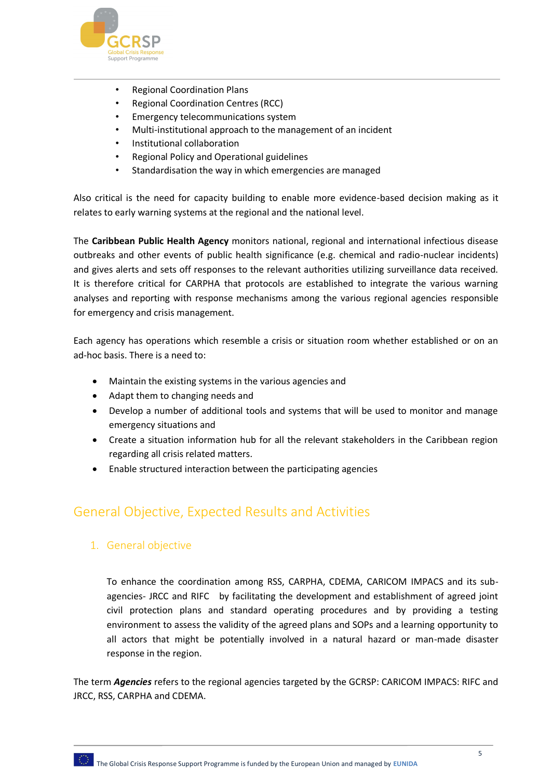

- Regional Coordination Plans
- Regional Coordination Centres (RCC)
- Emergency telecommunications system
- Multi-institutional approach to the management of an incident
- Institutional collaboration
- Regional Policy and Operational guidelines
- Standardisation the way in which emergencies are managed

Also critical is the need for capacity building to enable more evidence-based decision making as it relates to early warning systems at the regional and the national level.

The **Caribbean Public Health Agency** monitors national, regional and international infectious disease outbreaks and other events of public health significance (e.g. chemical and radio-nuclear incidents) and gives alerts and sets off responses to the relevant authorities utilizing surveillance data received. It is therefore critical for CARPHA that protocols are established to integrate the various warning analyses and reporting with response mechanisms among the various regional agencies responsible for emergency and crisis management.

Each agency has operations which resemble a crisis or situation room whether established or on an ad-hoc basis. There is a need to:

- Maintain the existing systems in the various agencies and
- Adapt them to changing needs and
- Develop a number of additional tools and systems that will be used to monitor and manage emergency situations and
- Create a situation information hub for all the relevant stakeholders in the Caribbean region regarding all crisis related matters.
- Enable structured interaction between the participating agencies

# General Objective, Expected Results and Activities

1. General objective

To enhance the coordination among RSS, CARPHA, CDEMA, CARICOM IMPACS and its subagencies- JRCC and RIFC by facilitating the development and establishment of agreed joint civil protection plans and standard operating procedures and by providing a testing environment to assess the validity of the agreed plans and SOPs and a learning opportunity to all actors that might be potentially involved in a natural hazard or man-made disaster response in the region.

The term *Agencies* refers to the regional agencies targeted by the GCRSP: CARICOM IMPACS: RIFC and JRCC, RSS, CARPHA and CDEMA.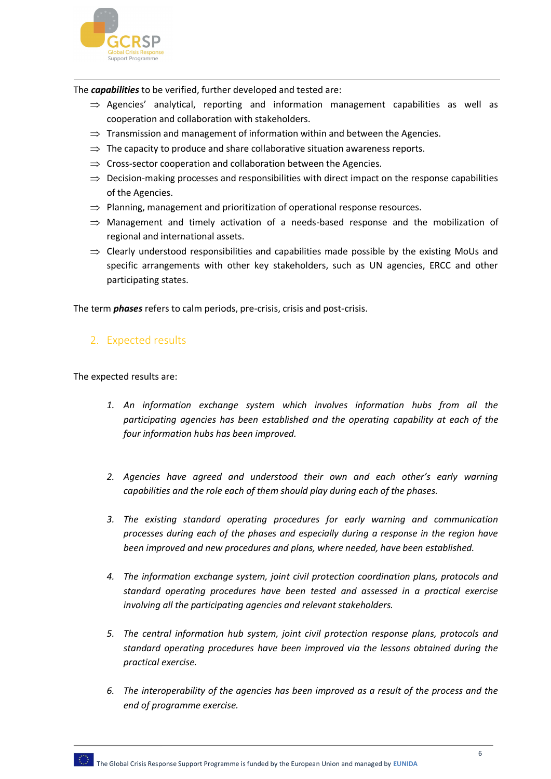

The *capabilities* to be verified, further developed and tested are:

- $\Rightarrow$  Agencies' analytical, reporting and information management capabilities as well as cooperation and collaboration with stakeholders.
- $\Rightarrow$  Transmission and management of information within and between the Agencies.
- $\Rightarrow$  The capacity to produce and share collaborative situation awareness reports.
- $\Rightarrow$  Cross-sector cooperation and collaboration between the Agencies.
- $\Rightarrow$  Decision-making processes and responsibilities with direct impact on the response capabilities of the Agencies.
- $\Rightarrow$  Planning, management and prioritization of operational response resources.
- $\Rightarrow$  Management and timely activation of a needs-based response and the mobilization of regional and international assets.
- $\Rightarrow$  Clearly understood responsibilities and capabilities made possible by the existing MoUs and specific arrangements with other key stakeholders, such as UN agencies, ERCC and other participating states.

The term *phases* refers to calm periods, pre-crisis, crisis and post-crisis.

## 2. Expected results

The expected results are:

- *1. An information exchange system which involves information hubs from all the participating agencies has been established and the operating capability at each of the four information hubs has been improved.*
- *2. Agencies have agreed and understood their own and each other's early warning capabilities and the role each of them should play during each of the phases.*
- *3. The existing standard operating procedures for early warning and communication processes during each of the phases and especially during a response in the region have been improved and new procedures and plans, where needed, have been established.*
- *4. The information exchange system, joint civil protection coordination plans, protocols and standard operating procedures have been tested and assessed in a practical exercise involving all the participating agencies and relevant stakeholders.*
- *5. The central information hub system, joint civil protection response plans, protocols and standard operating procedures have been improved via the lessons obtained during the practical exercise.*
- *6. The interoperability of the agencies has been improved as a result of the process and the end of programme exercise.*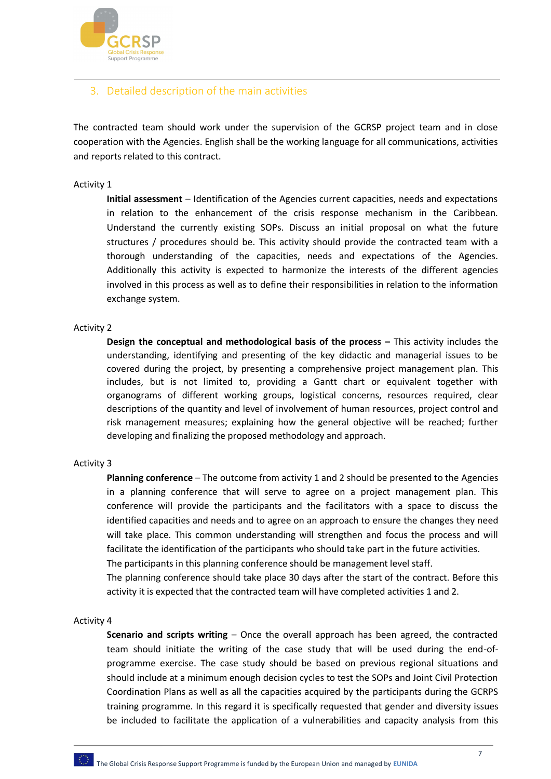

# 3. Detailed description of the main activities

The contracted team should work under the supervision of the GCRSP project team and in close cooperation with the Agencies. English shall be the working language for all communications, activities and reports related to this contract.

#### Activity 1

**Initial assessment** – Identification of the Agencies current capacities, needs and expectations in relation to the enhancement of the crisis response mechanism in the Caribbean. Understand the currently existing SOPs. Discuss an initial proposal on what the future structures / procedures should be. This activity should provide the contracted team with a thorough understanding of the capacities, needs and expectations of the Agencies. Additionally this activity is expected to harmonize the interests of the different agencies involved in this process as well as to define their responsibilities in relation to the information exchange system.

#### Activity 2

**Design the conceptual and methodological basis of the process –** This activity includes the understanding, identifying and presenting of the key didactic and managerial issues to be covered during the project, by presenting a comprehensive project management plan. This includes, but is not limited to, providing a Gantt chart or equivalent together with organograms of different working groups, logistical concerns, resources required, clear descriptions of the quantity and level of involvement of human resources, project control and risk management measures; explaining how the general objective will be reached; further developing and finalizing the proposed methodology and approach.

#### Activity 3

**Planning conference** – The outcome from activity 1 and 2 should be presented to the Agencies in a planning conference that will serve to agree on a project management plan. This conference will provide the participants and the facilitators with a space to discuss the identified capacities and needs and to agree on an approach to ensure the changes they need will take place. This common understanding will strengthen and focus the process and will facilitate the identification of the participants who should take part in the future activities. The participants in this planning conference should be management level staff.

The planning conference should take place 30 days after the start of the contract. Before this activity it is expected that the contracted team will have completed activities 1 and 2.

#### Activity 4

**Scenario and scripts writing** – Once the overall approach has been agreed, the contracted team should initiate the writing of the case study that will be used during the end-ofprogramme exercise. The case study should be based on previous regional situations and should include at a minimum enough decision cycles to test the SOPs and Joint Civil Protection Coordination Plans as well as all the capacities acquired by the participants during the GCRPS training programme. In this regard it is specifically requested that gender and diversity issues be included to facilitate the application of a vulnerabilities and capacity analysis from this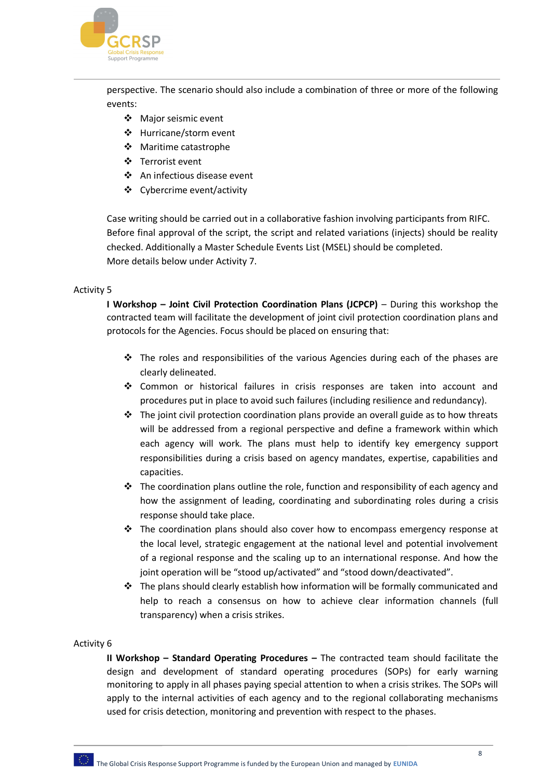

perspective. The scenario should also include a combination of three or more of the following events:

- Major seismic event
- Hurricane/storm event
- Maritime catastrophe
- Terrorist event
- An infectious disease event
- Cybercrime event/activity

Case writing should be carried out in a collaborative fashion involving participants from RIFC. Before final approval of the script, the script and related variations (injects) should be reality checked. Additionally a Master Schedule Events List (MSEL) should be completed. More details below under Activity 7.

#### Activity 5

**I Workshop – Joint Civil Protection Coordination Plans (JCPCP)** – During this workshop the contracted team will facilitate the development of joint civil protection coordination plans and protocols for the Agencies. Focus should be placed on ensuring that:

- $\div$  The roles and responsibilities of the various Agencies during each of the phases are clearly delineated.
- Common or historical failures in crisis responses are taken into account and procedures put in place to avoid such failures (including resilience and redundancy).
- $\cdot \cdot$  The joint civil protection coordination plans provide an overall guide as to how threats will be addressed from a regional perspective and define a framework within which each agency will work. The plans must help to identify key emergency support responsibilities during a crisis based on agency mandates, expertise, capabilities and capacities.
- $\cdot \cdot$  The coordination plans outline the role, function and responsibility of each agency and how the assignment of leading, coordinating and subordinating roles during a crisis response should take place.
- \* The coordination plans should also cover how to encompass emergency response at the local level, strategic engagement at the national level and potential involvement of a regional response and the scaling up to an international response. And how the joint operation will be "stood up/activated" and "stood down/deactivated".
- $\cdot \cdot$  The plans should clearly establish how information will be formally communicated and help to reach a consensus on how to achieve clear information channels (full transparency) when a crisis strikes.

#### Activity 6

**II Workshop – Standard Operating Procedures –** The contracted team should facilitate the design and development of standard operating procedures (SOPs) for early warning monitoring to apply in all phases paying special attention to when a crisis strikes. The SOPs will apply to the internal activities of each agency and to the regional collaborating mechanisms used for crisis detection, monitoring and prevention with respect to the phases.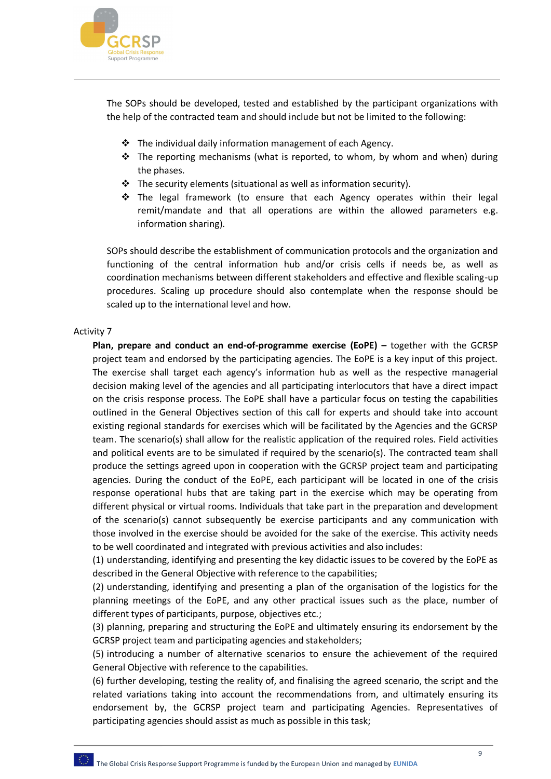

The SOPs should be developed, tested and established by the participant organizations with the help of the contracted team and should include but not be limited to the following:

- The individual daily information management of each Agency.
- \* The reporting mechanisms (what is reported, to whom, by whom and when) during the phases.
- $\clubsuit$  The security elements (situational as well as information security).
- $\div$  The legal framework (to ensure that each Agency operates within their legal remit/mandate and that all operations are within the allowed parameters e.g. information sharing).

SOPs should describe the establishment of communication protocols and the organization and functioning of the central information hub and/or crisis cells if needs be, as well as coordination mechanisms between different stakeholders and effective and flexible scaling-up procedures. Scaling up procedure should also contemplate when the response should be scaled up to the international level and how.

#### Activity 7

**Plan, prepare and conduct an end-of-programme exercise (EoPE) –** together with the GCRSP project team and endorsed by the participating agencies. The EoPE is a key input of this project. The exercise shall target each agency's information hub as well as the respective managerial decision making level of the agencies and all participating interlocutors that have a direct impact on the crisis response process. The EoPE shall have a particular focus on testing the capabilities outlined in the General Objectives section of this call for experts and should take into account existing regional standards for exercises which will be facilitated by the Agencies and the GCRSP team. The scenario(s) shall allow for the realistic application of the required roles. Field activities and political events are to be simulated if required by the scenario(s). The contracted team shall produce the settings agreed upon in cooperation with the GCRSP project team and participating agencies. During the conduct of the EoPE, each participant will be located in one of the crisis response operational hubs that are taking part in the exercise which may be operating from different physical or virtual rooms. Individuals that take part in the preparation and development of the scenario(s) cannot subsequently be exercise participants and any communication with those involved in the exercise should be avoided for the sake of the exercise. This activity needs to be well coordinated and integrated with previous activities and also includes:

(1) understanding, identifying and presenting the key didactic issues to be covered by the EoPE as described in the General Objective with reference to the capabilities;

(2) understanding, identifying and presenting a plan of the organisation of the logistics for the planning meetings of the EoPE, and any other practical issues such as the place, number of different types of participants, purpose, objectives etc.;

(3) planning, preparing and structuring the EoPE and ultimately ensuring its endorsement by the GCRSP project team and participating agencies and stakeholders;

(5) introducing a number of alternative scenarios to ensure the achievement of the required General Objective with reference to the capabilities.

(6) further developing, testing the reality of, and finalising the agreed scenario, the script and the related variations taking into account the recommendations from, and ultimately ensuring its endorsement by, the GCRSP project team and participating Agencies. Representatives of participating agencies should assist as much as possible in this task;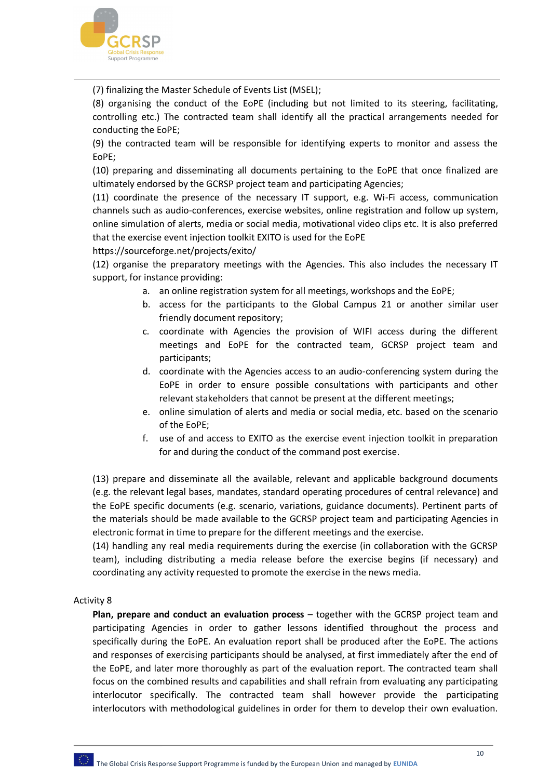

(7) finalizing the Master Schedule of Events List (MSEL);

(8) organising the conduct of the EoPE (including but not limited to its steering, facilitating, controlling etc.) The contracted team shall identify all the practical arrangements needed for conducting the EoPE;

(9) the contracted team will be responsible for identifying experts to monitor and assess the EoPE;

(10) preparing and disseminating all documents pertaining to the EoPE that once finalized are ultimately endorsed by the GCRSP project team and participating Agencies;

(11) coordinate the presence of the necessary IT support, e.g. Wi-Fi access, communication channels such as audio-conferences, exercise websites, online registration and follow up system, online simulation of alerts, media or social media, motivational video clips etc. It is also preferred that the exercise event injection toolkit EXITO is used for the EoPE

https://sourceforge.net/projects/exito/

(12) organise the preparatory meetings with the Agencies. This also includes the necessary IT support, for instance providing:

- a. an online registration system for all meetings, workshops and the EoPE;
- b. access for the participants to the Global Campus 21 or another similar user friendly document repository;
- c. coordinate with Agencies the provision of WIFI access during the different meetings and EoPE for the contracted team, GCRSP project team and participants;
- d. coordinate with the Agencies access to an audio-conferencing system during the EoPE in order to ensure possible consultations with participants and other relevant stakeholders that cannot be present at the different meetings;
- e. online simulation of alerts and media or social media, etc. based on the scenario of the EoPE;
- f. use of and access to EXITO as the exercise event injection toolkit in preparation for and during the conduct of the command post exercise.

(13) prepare and disseminate all the available, relevant and applicable background documents (e.g. the relevant legal bases, mandates, standard operating procedures of central relevance) and the EoPE specific documents (e.g. scenario, variations, guidance documents). Pertinent parts of the materials should be made available to the GCRSP project team and participating Agencies in electronic format in time to prepare for the different meetings and the exercise.

(14) handling any real media requirements during the exercise (in collaboration with the GCRSP team), including distributing a media release before the exercise begins (if necessary) and coordinating any activity requested to promote the exercise in the news media.

#### Activity 8

**Plan, prepare and conduct an evaluation process** – together with the GCRSP project team and participating Agencies in order to gather lessons identified throughout the process and specifically during the EoPE. An evaluation report shall be produced after the EoPE. The actions and responses of exercising participants should be analysed, at first immediately after the end of the EoPE, and later more thoroughly as part of the evaluation report. The contracted team shall focus on the combined results and capabilities and shall refrain from evaluating any participating interlocutor specifically. The contracted team shall however provide the participating interlocutors with methodological guidelines in order for them to develop their own evaluation.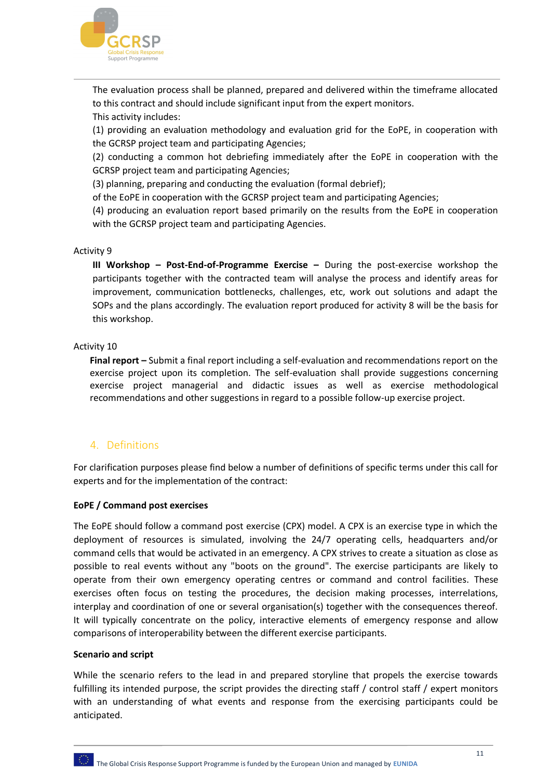

The evaluation process shall be planned, prepared and delivered within the timeframe allocated to this contract and should include significant input from the expert monitors. This activity includes:

(1) providing an evaluation methodology and evaluation grid for the EoPE, in cooperation with the GCRSP project team and participating Agencies;

(2) conducting a common hot debriefing immediately after the EoPE in cooperation with the GCRSP project team and participating Agencies;

(3) planning, preparing and conducting the evaluation (formal debrief);

of the EoPE in cooperation with the GCRSP project team and participating Agencies;

(4) producing an evaluation report based primarily on the results from the EoPE in cooperation with the GCRSP project team and participating Agencies.

#### Activity 9

**III Workshop – Post-End-of-Programme Exercise –** During the post-exercise workshop the participants together with the contracted team will analyse the process and identify areas for improvement, communication bottlenecks, challenges, etc, work out solutions and adapt the SOPs and the plans accordingly. The evaluation report produced for activity 8 will be the basis for this workshop.

#### Activity 10

**Final report –** Submit a final report including a self-evaluation and recommendations report on the exercise project upon its completion. The self-evaluation shall provide suggestions concerning exercise project managerial and didactic issues as well as exercise methodological recommendations and other suggestions in regard to a possible follow-up exercise project.

#### 4. Definitions

For clarification purposes please find below a number of definitions of specific terms under this call for experts and for the implementation of the contract:

#### **EoPE / Command post exercises**

The EoPE should follow a command post exercise (CPX) model. A CPX is an exercise type in which the deployment of resources is simulated, involving the 24/7 operating cells, headquarters and/or command cells that would be activated in an emergency. A CPX strives to create a situation as close as possible to real events without any "boots on the ground". The exercise participants are likely to operate from their own emergency operating centres or command and control facilities. These exercises often focus on testing the procedures, the decision making processes, interrelations, interplay and coordination of one or several organisation(s) together with the consequences thereof. It will typically concentrate on the policy, interactive elements of emergency response and allow comparisons of interoperability between the different exercise participants.

#### **Scenario and script**

While the scenario refers to the lead in and prepared storyline that propels the exercise towards fulfilling its intended purpose, the script provides the directing staff / control staff / expert monitors with an understanding of what events and response from the exercising participants could be anticipated.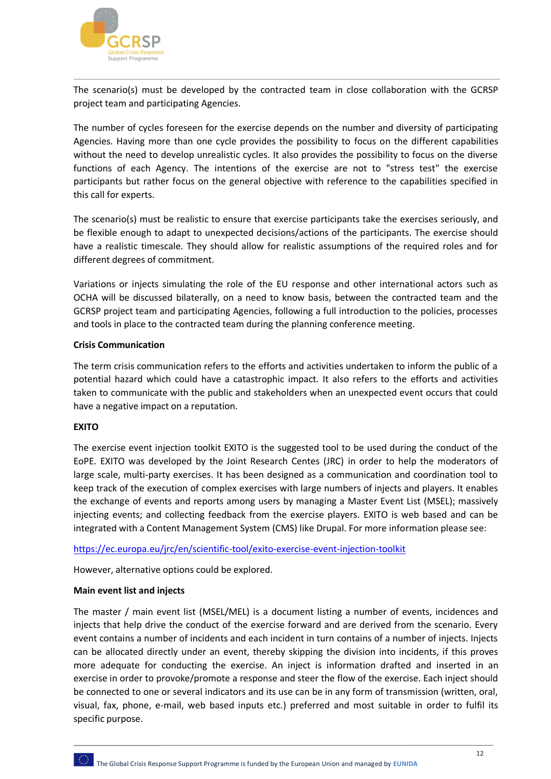

The scenario(s) must be developed by the contracted team in close collaboration with the GCRSP project team and participating Agencies.

The number of cycles foreseen for the exercise depends on the number and diversity of participating Agencies. Having more than one cycle provides the possibility to focus on the different capabilities without the need to develop unrealistic cycles. It also provides the possibility to focus on the diverse functions of each Agency. The intentions of the exercise are not to "stress test" the exercise participants but rather focus on the general objective with reference to the capabilities specified in this call for experts.

The scenario(s) must be realistic to ensure that exercise participants take the exercises seriously, and be flexible enough to adapt to unexpected decisions/actions of the participants. The exercise should have a realistic timescale. They should allow for realistic assumptions of the required roles and for different degrees of commitment.

Variations or injects simulating the role of the EU response and other international actors such as OCHA will be discussed bilaterally, on a need to know basis, between the contracted team and the GCRSP project team and participating Agencies, following a full introduction to the policies, processes and tools in place to the contracted team during the planning conference meeting.

#### **Crisis Communication**

The term crisis communication refers to the efforts and activities undertaken to inform the public of a potential hazard which could have a catastrophic impact. It also refers to the efforts and activities taken to communicate with the public and stakeholders when an unexpected event occurs that could have a negative impact on a reputation.

#### **EXITO**

The exercise event injection toolkit EXITO is the suggested tool to be used during the conduct of the EoPE. EXITO was developed by the Joint Research Centes (JRC) in order to help the moderators of large scale, multi-party exercises. It has been designed as a communication and coordination tool to keep track of the execution of complex exercises with large numbers of injects and players. It enables the exchange of events and reports among users by managing a Master Event List (MSEL); massively injecting events; and collecting feedback from the exercise players. EXITO is web based and can be integrated with a Content Management System (CMS) like Drupal. For more information please see:

https://ec.europa.eu/jrc/en/scientific-tool/exito-exercise-event-injection-toolkit

However, alternative options could be explored.

#### **Main event list and injects**

The master / main event list (MSEL/MEL) is a document listing a number of events, incidences and injects that help drive the conduct of the exercise forward and are derived from the scenario. Every event contains a number of incidents and each incident in turn contains of a number of injects. Injects can be allocated directly under an event, thereby skipping the division into incidents, if this proves more adequate for conducting the exercise. An inject is information drafted and inserted in an exercise in order to provoke/promote a response and steer the flow of the exercise. Each inject should be connected to one or several indicators and its use can be in any form of transmission (written, oral, visual, fax, phone, e-mail, web based inputs etc.) preferred and most suitable in order to fulfil its specific purpose.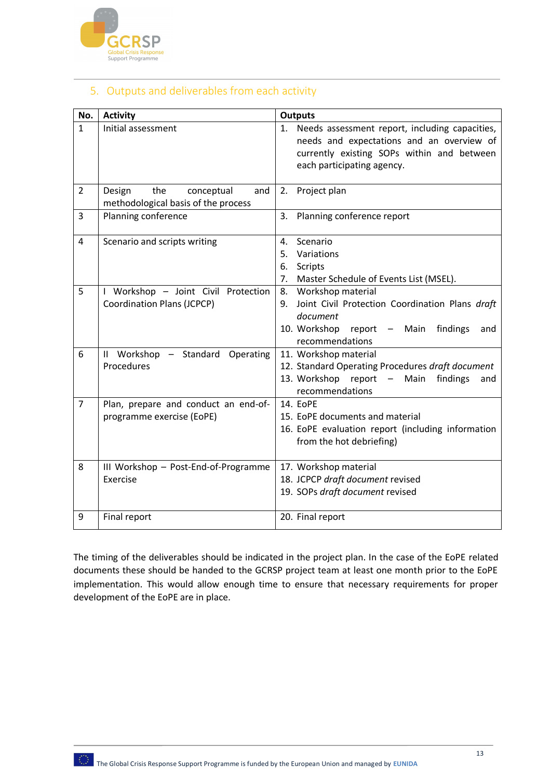

# 5. Outputs and deliverables from each activity

| No.            | <b>Activity</b>                                                           | <b>Outputs</b>                                                                                                                                                             |
|----------------|---------------------------------------------------------------------------|----------------------------------------------------------------------------------------------------------------------------------------------------------------------------|
| $\mathbf{1}$   | Initial assessment                                                        | 1. Needs assessment report, including capacities,<br>needs and expectations and an overview of<br>currently existing SOPs within and between<br>each participating agency. |
| $\overline{2}$ | Design<br>the<br>conceptual<br>and<br>methodological basis of the process | 2. Project plan                                                                                                                                                            |
| 3              | Planning conference                                                       | Planning conference report<br>3.                                                                                                                                           |
| 4              | Scenario and scripts writing                                              | Scenario<br>4.<br>5.<br>Variations<br>6.<br>Scripts<br>Master Schedule of Events List (MSEL).<br>7.                                                                        |
| 5              | I Workshop - Joint Civil Protection<br><b>Coordination Plans (JCPCP)</b>  | 8. Workshop material<br>Joint Civil Protection Coordination Plans draft<br>9.<br>document<br>10. Workshop report - Main<br>findings<br>and<br>recommendations              |
| 6              | II Workshop - Standard Operating<br>Procedures                            | 11. Workshop material<br>12. Standard Operating Procedures draft document<br>13. Workshop report –<br>findings<br>Main<br>and<br>recommendations                           |
| $\overline{7}$ | Plan, prepare and conduct an end-of-<br>programme exercise (EoPE)         | 14. EoPE<br>15. EoPE documents and material<br>16. EoPE evaluation report (including information<br>from the hot debriefing)                                               |
| 8              | III Workshop - Post-End-of-Programme<br>Exercise                          | 17. Workshop material<br>18. JCPCP draft document revised<br>19. SOPs draft document revised                                                                               |
| 9              | Final report                                                              | 20. Final report                                                                                                                                                           |

The timing of the deliverables should be indicated in the project plan. In the case of the EoPE related documents these should be handed to the GCRSP project team at least one month prior to the EoPE implementation. This would allow enough time to ensure that necessary requirements for proper development of the EoPE are in place.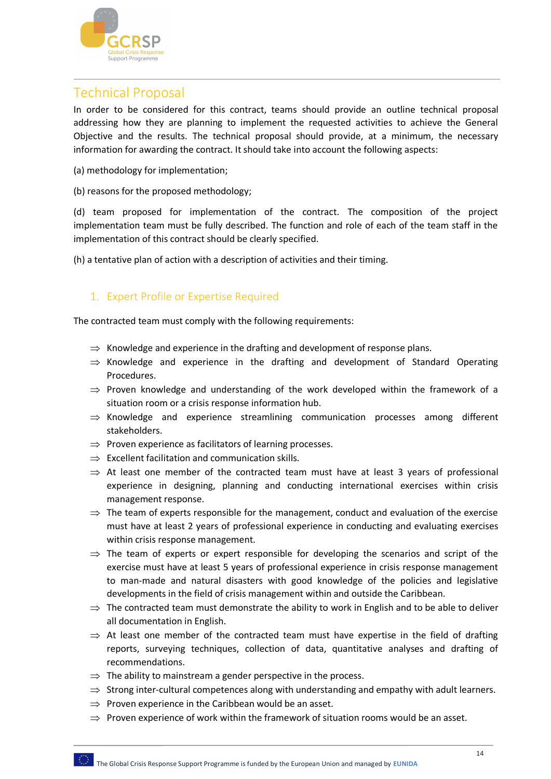

# Technical Proposal

In order to be considered for this contract, teams should provide an outline technical proposal addressing how they are planning to implement the requested activities to achieve the General Objective and the results. The technical proposal should provide, at a minimum, the necessary information for awarding the contract. It should take into account the following aspects:

- (a) methodology for implementation;
- (b) reasons for the proposed methodology;

(d) team proposed for implementation of the contract. The composition of the project implementation team must be fully described. The function and role of each of the team staff in the implementation of this contract should be clearly specified.

(h) a tentative plan of action with a description of activities and their timing.

# 1. Expert Profile or Expertise Required

The contracted team must comply with the following requirements:

- $\Rightarrow$  Knowledge and experience in the drafting and development of response plans.
- $\Rightarrow$  Knowledge and experience in the drafting and development of Standard Operating Procedures.
- $\Rightarrow$  Proven knowledge and understanding of the work developed within the framework of a situation room or a crisis response information hub.
- $\Rightarrow$  Knowledge and experience streamlining communication processes among different stakeholders.
- $\Rightarrow$  Proven experience as facilitators of learning processes.
- $\Rightarrow$  Excellent facilitation and communication skills.
- $\Rightarrow$  At least one member of the contracted team must have at least 3 years of professional experience in designing, planning and conducting international exercises within crisis management response.
- $\Rightarrow$  The team of experts responsible for the management, conduct and evaluation of the exercise must have at least 2 years of professional experience in conducting and evaluating exercises within crisis response management.
- $\Rightarrow$  The team of experts or expert responsible for developing the scenarios and script of the exercise must have at least 5 years of professional experience in crisis response management to man-made and natural disasters with good knowledge of the policies and legislative developments in the field of crisis management within and outside the Caribbean.
- $\Rightarrow$  The contracted team must demonstrate the ability to work in English and to be able to deliver all documentation in English.
- $\Rightarrow$  At least one member of the contracted team must have expertise in the field of drafting reports, surveying techniques, collection of data, quantitative analyses and drafting of recommendations.
- $\Rightarrow$  The ability to mainstream a gender perspective in the process.
- $\Rightarrow$  Strong inter-cultural competences along with understanding and empathy with adult learners.
- $\Rightarrow$  Proven experience in the Caribbean would be an asset.
- $\Rightarrow$  Proven experience of work within the framework of situation rooms would be an asset.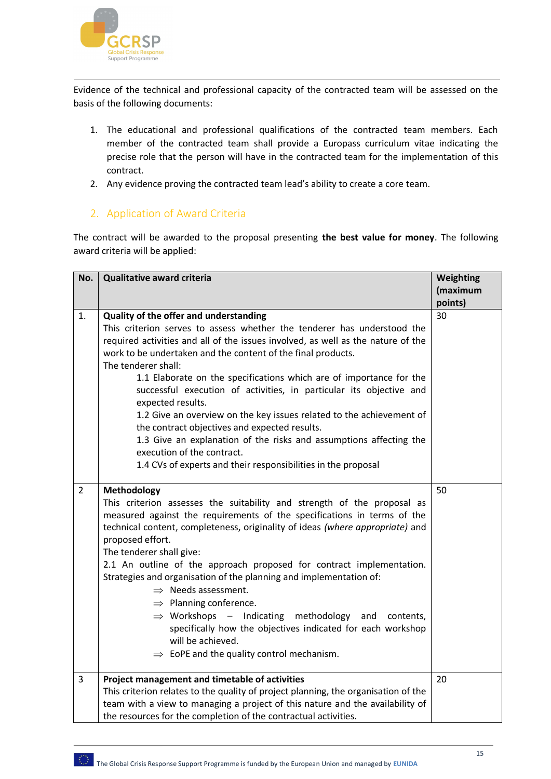

Evidence of the technical and professional capacity of the contracted team will be assessed on the basis of the following documents:

- 1. The educational and professional qualifications of the contracted team members. Each member of the contracted team shall provide a Europass curriculum vitae indicating the precise role that the person will have in the contracted team for the implementation of this contract.
- 2. Any evidence proving the contracted team lead's ability to create a core team.

## 2. Application of Award Criteria

The contract will be awarded to the proposal presenting **the best value for money**. The following award criteria will be applied:

| No.            | <b>Qualitative award criteria</b>                                                                                                                                                                                                                                                                                                                                                                                                                                                                                                                                                                                                                                                                                                                             | Weighting<br>(maximum |
|----------------|---------------------------------------------------------------------------------------------------------------------------------------------------------------------------------------------------------------------------------------------------------------------------------------------------------------------------------------------------------------------------------------------------------------------------------------------------------------------------------------------------------------------------------------------------------------------------------------------------------------------------------------------------------------------------------------------------------------------------------------------------------------|-----------------------|
|                |                                                                                                                                                                                                                                                                                                                                                                                                                                                                                                                                                                                                                                                                                                                                                               | points)               |
| 1.             | Quality of the offer and understanding<br>This criterion serves to assess whether the tenderer has understood the<br>required activities and all of the issues involved, as well as the nature of the<br>work to be undertaken and the content of the final products.<br>The tenderer shall:<br>1.1 Elaborate on the specifications which are of importance for the<br>successful execution of activities, in particular its objective and<br>expected results.<br>1.2 Give an overview on the key issues related to the achievement of<br>the contract objectives and expected results.<br>1.3 Give an explanation of the risks and assumptions affecting the<br>execution of the contract.<br>1.4 CVs of experts and their responsibilities in the proposal | 30                    |
| $\overline{2}$ | <b>Methodology</b><br>This criterion assesses the suitability and strength of the proposal as<br>measured against the requirements of the specifications in terms of the<br>technical content, completeness, originality of ideas (where appropriate) and<br>proposed effort.<br>The tenderer shall give:<br>2.1 An outline of the approach proposed for contract implementation.<br>Strategies and organisation of the planning and implementation of:<br>$\Rightarrow$ Needs assessment.<br>$\Rightarrow$ Planning conference.<br>$\Rightarrow$ Workshops - Indicating<br>methodology<br>and<br>contents,<br>specifically how the objectives indicated for each workshop<br>will be achieved.<br>$\Rightarrow$ EoPE and the quality control mechanism.      | 50                    |
| 3              | Project management and timetable of activities<br>This criterion relates to the quality of project planning, the organisation of the<br>team with a view to managing a project of this nature and the availability of<br>the resources for the completion of the contractual activities.                                                                                                                                                                                                                                                                                                                                                                                                                                                                      | 20                    |

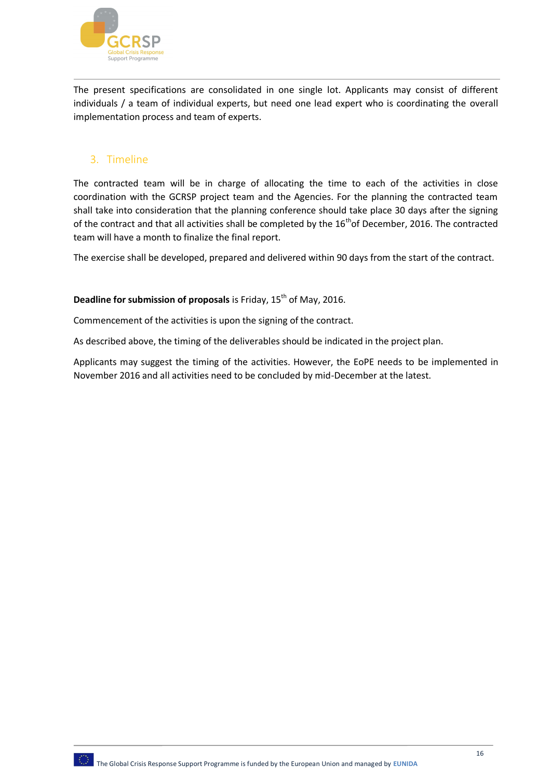

The present specifications are consolidated in one single lot. Applicants may consist of different individuals / a team of individual experts, but need one lead expert who is coordinating the overall implementation process and team of experts.

# 3. Timeline

The contracted team will be in charge of allocating the time to each of the activities in close coordination with the GCRSP project team and the Agencies. For the planning the contracted team shall take into consideration that the planning conference should take place 30 days after the signing of the contract and that all activities shall be completed by the  $16<sup>th</sup>$ of December, 2016. The contracted team will have a month to finalize the final report.

The exercise shall be developed, prepared and delivered within 90 days from the start of the contract.

## **Deadline for submission of proposals** is Friday, 15<sup>th</sup> of May, 2016.

Commencement of the activities is upon the signing of the contract.

As described above, the timing of the deliverables should be indicated in the project plan.

Applicants may suggest the timing of the activities. However, the EoPE needs to be implemented in November 2016 and all activities need to be concluded by mid-December at the latest.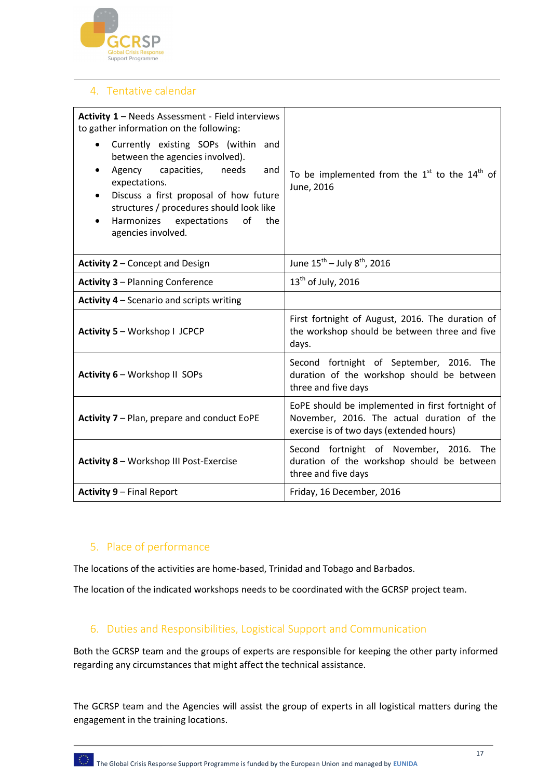

# 4. Tentative calendar

| Activity 1 - Needs Assessment - Field interviews<br>to gather information on the following:<br>Currently existing SOPs (within and<br>between the agencies involved).<br>Agency capacities,<br>needs<br>and<br>$\bullet$<br>expectations.<br>Discuss a first proposal of how future<br>$\bullet$<br>structures / procedures should look like<br>Harmonizes expectations<br>of<br>the<br>$\bullet$<br>agencies involved. | To be implemented from the $1st$ to the $14th$ of<br>June, 2016                                                                            |
|-------------------------------------------------------------------------------------------------------------------------------------------------------------------------------------------------------------------------------------------------------------------------------------------------------------------------------------------------------------------------------------------------------------------------|--------------------------------------------------------------------------------------------------------------------------------------------|
| Activity 2 - Concept and Design                                                                                                                                                                                                                                                                                                                                                                                         | June $15^{th}$ – July $8^{th}$ , 2016                                                                                                      |
| <b>Activity 3 - Planning Conference</b>                                                                                                                                                                                                                                                                                                                                                                                 | $13th$ of July, 2016                                                                                                                       |
| Activity 4 - Scenario and scripts writing                                                                                                                                                                                                                                                                                                                                                                               |                                                                                                                                            |
| Activity 5 - Workshop I JCPCP                                                                                                                                                                                                                                                                                                                                                                                           | First fortnight of August, 2016. The duration of<br>the workshop should be between three and five<br>days.                                 |
| Activity 6 - Workshop II SOPs                                                                                                                                                                                                                                                                                                                                                                                           | Second fortnight of September, 2016. The<br>duration of the workshop should be between<br>three and five days                              |
| Activity 7 - Plan, prepare and conduct EoPE                                                                                                                                                                                                                                                                                                                                                                             | EoPE should be implemented in first fortnight of<br>November, 2016. The actual duration of the<br>exercise is of two days (extended hours) |
| Activity 8 - Workshop III Post-Exercise                                                                                                                                                                                                                                                                                                                                                                                 | Second fortnight of November, 2016. The<br>duration of the workshop should be between<br>three and five days                               |
| <b>Activity 9 - Final Report</b>                                                                                                                                                                                                                                                                                                                                                                                        | Friday, 16 December, 2016                                                                                                                  |

# 5. Place of performance

The locations of the activities are home-based, Trinidad and Tobago and Barbados.

The location of the indicated workshops needs to be coordinated with the GCRSP project team.

# 6. Duties and Responsibilities, Logistical Support and Communication

Both the GCRSP team and the groups of experts are responsible for keeping the other party informed regarding any circumstances that might affect the technical assistance.

The GCRSP team and the Agencies will assist the group of experts in all logistical matters during the engagement in the training locations.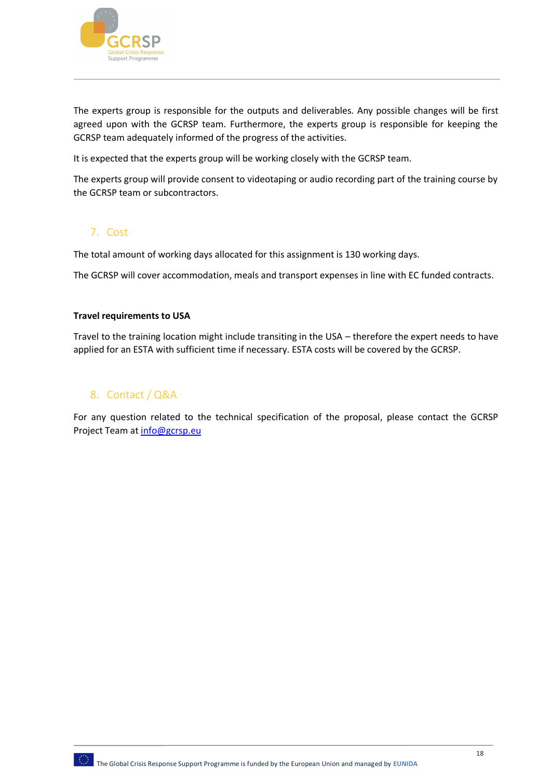

The experts group is responsible for the outputs and deliverables. Any possible changes will be first agreed upon with the GCRSP team. Furthermore, the experts group is responsible for keeping the GCRSP team adequately informed of the progress of the activities.

It is expected that the experts group will be working closely with the GCRSP team.

The experts group will provide consent to videotaping or audio recording part of the training course by the GCRSP team or subcontractors.

# 7. Cost

The total amount of working days allocated for this assignment is 130 working days.

The GCRSP will cover accommodation, meals and transport expenses in line with EC funded contracts.

#### **Travel requirements to USA**

Travel to the training location might include transiting in the USA – therefore the expert needs to have applied for an ESTA with sufficient time if necessary. ESTA costs will be covered by the GCRSP.

#### 8. Contact / Q&A

For any question related to the technical specification of the proposal, please contact the GCRSP Project Team at info@gcrsp.eu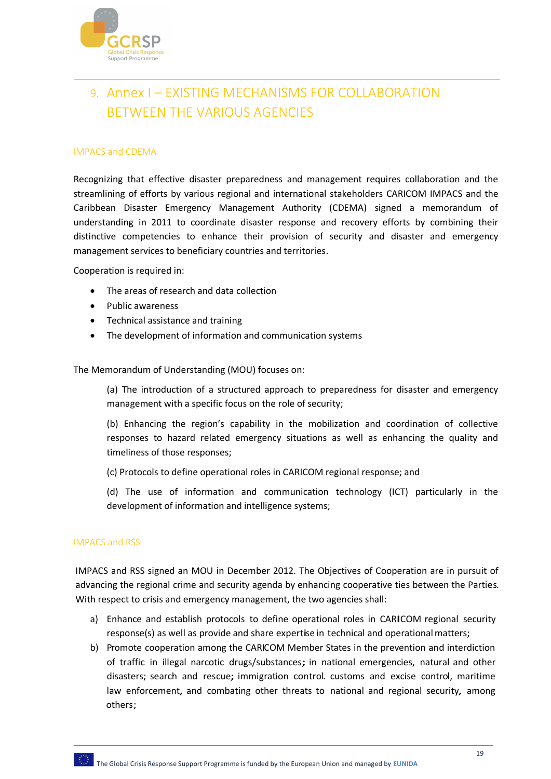

# 9. Annex I – EXISTING MECHANISMS FOR COLLABORATION BETWEEN THE VARIOUS AGENCIES

#### IMPACS and CDEMA

Recognizing that effective disaster preparedness and management requires collaboration and the streamlining of efforts by various regional and international stakeholders CARICOM IMPACS and the Caribbean Disaster Emergency Management Authority (CDEMA) signed a memorandum of understanding in 2011 to coordinate disaster response and recovery efforts by combining their distinctive competencies to enhance their provision of security and disaster and emergency management services to beneficiary countries and territories.

Cooperation is required in:

- The areas of research and data collection
- Public awareness
- Technical assistance and training
- The development of information and communication systems

The Memorandum of Understanding (MOU) focuses on:

(a) The introduction of a structured approach to preparedness for disaster and emergency management with a specific focus on the role of security;

(b) Enhancing the region's capability in the mobilization and coordination of collective responses to hazard related emergency situations as well as enhancing the quality and timeliness of those responses;

(c) Protocols to define operational roles in CARICOM regional response; and

(d) The use of information and communication technology (ICT) particularly in the development of information and intelligence systems;

#### IMPACS and RSS

IMPACS and RSS signed an MOU in December 2012. The Objectives of Cooperation are in pursuit of advancing the regional crime and security agenda by enhancing cooperative ties between the Parties. With respect to crisis and emergency management, the two agencies shall:

- a) Enhance and establish protocols to define operational roles in CARICOM regional security response(s) as well as provide and share expertise in technical and operationalmatters;
- b) Promote cooperation among the CARICOM Member States in the prevention and interdiction of traffic in illegal narcotic drugs/substances; in national emergencies, natural and other disasters; search and rescue; immigration control. customs and excise control, maritime law enforcement, and combating other threats to national and regional security, among others;